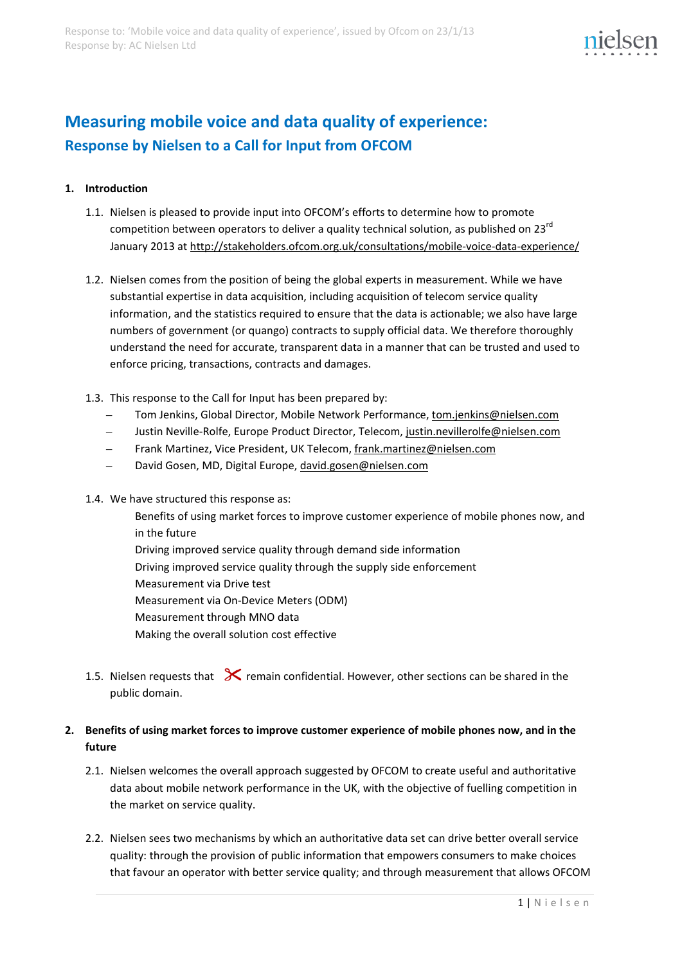# **Measuring mobile voice and data quality of experience: Response by Nielsen to a Call for Input from OFCOM**

# **1. Introduction**

- 1.1. Nielsen is pleased to provide input into OFCOM's efforts to determine how to promote competition between operators to deliver a quality technical solution, as published on 23<sup>rd</sup> January 2013 at<http://stakeholders.ofcom.org.uk/consultations/mobile-voice-data-experience/>
- 1.2. Nielsen comes from the position of being the global experts in measurement. While we have substantial expertise in data acquisition, including acquisition of telecom service quality information, and the statistics required to ensure that the data is actionable; we also have large numbers of government (or quango) contracts to supply official data. We therefore thoroughly understand the need for accurate, transparent data in a manner that can be trusted and used to enforce pricing, transactions, contracts and damages.
- 1.3. This response to the Call for Input has been prepared by:
	- Tom Jenkins, Global Director, Mobile Network Performance, [tom.jenkins@nielsen.com](mailto:tom.jenkins@nielsen.com)
	- Justin Neville-Rolfe, Europe Product Director, Telecom[, justin.nevillerolfe@nielsen.com](mailto:justin.nevillerolfe@nielsen.com)
	- Frank Martinez, Vice President, UK Telecom[, frank.martinez@nielsen.com](mailto:frank.martinez@nielsen.com)
	- David Gosen, MD, Digital Europe, [david.gosen@nielsen.com](mailto:david.gosen@nielsen.com)
- 1.4. We have structured this response as:
	- Benefits of using market forces to improve customer experience of mobile phones now, and in the future
	- Driving improved service quality through demand side information
	- Driving improved service quality through the supply side enforcement
	- Measurement via Drive test
	- Measurement via On-Device Meters (ODM)
	- Measurement through MNO data
	- Making the overall solution cost effective
- 1.5. Nielsen requests that  $\mathcal X$  remain confidential. However, other sections can be shared in the public domain.

# **2. Benefits of using market forces to improve customer experience of mobile phones now, and in the future**

- 2.1. Nielsen welcomes the overall approach suggested by OFCOM to create useful and authoritative data about mobile network performance in the UK, with the objective of fuelling competition in the market on service quality.
- 2.2. Nielsen sees two mechanisms by which an authoritative data set can drive better overall service quality: through the provision of public information that empowers consumers to make choices that favour an operator with better service quality; and through measurement that allows OFCOM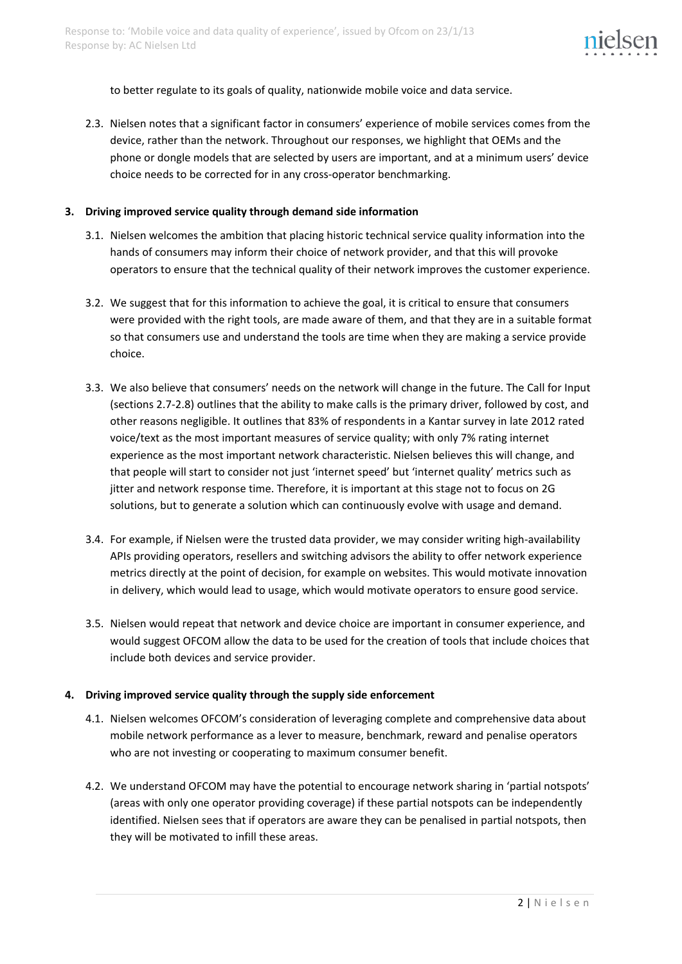

to better regulate to its goals of quality, nationwide mobile voice and data service.

2.3. Nielsen notes that a significant factor in consumers' experience of mobile services comes from the device, rather than the network. Throughout our responses, we highlight that OEMs and the phone or dongle models that are selected by users are important, and at a minimum users' device choice needs to be corrected for in any cross-operator benchmarking.

#### **3. Driving improved service quality through demand side information**

- 3.1. Nielsen welcomes the ambition that placing historic technical service quality information into the hands of consumers may inform their choice of network provider, and that this will provoke operators to ensure that the technical quality of their network improves the customer experience.
- 3.2. We suggest that for this information to achieve the goal, it is critical to ensure that consumers were provided with the right tools, are made aware of them, and that they are in a suitable format so that consumers use and understand the tools are time when they are making a service provide choice.
- <span id="page-1-0"></span>3.3. We also believe that consumers' needs on the network will change in the future. The Call for Input (sections 2.7-2.8) outlines that the ability to make calls is the primary driver, followed by cost, and other reasons negligible. It outlines that 83% of respondents in a Kantar survey in late 2012 rated voice/text as the most important measures of service quality; with only 7% rating internet experience as the most important network characteristic. Nielsen believes this will change, and that people will start to consider not just 'internet speed' but 'internet quality' metrics such as jitter and network response time. Therefore, it is important at this stage not to focus on 2G solutions, but to generate a solution which can continuously evolve with usage and demand.
- 3.4. For example, if Nielsen were the trusted data provider, we may consider writing high-availability APIs providing operators, resellers and switching advisors the ability to offer network experience metrics directly at the point of decision, for example on websites. This would motivate innovation in delivery, which would lead to usage, which would motivate operators to ensure good service.
- 3.5. Nielsen would repeat that network and device choice are important in consumer experience, and would suggest OFCOM allow the data to be used for the creation of tools that include choices that include both devices and service provider.

## **4. Driving improved service quality through the supply side enforcement**

- 4.1. Nielsen welcomes OFCOM's consideration of leveraging complete and comprehensive data about mobile network performance as a lever to measure, benchmark, reward and penalise operators who are not investing or cooperating to maximum consumer benefit.
- 4.2. We understand OFCOM may have the potential to encourage network sharing in 'partial notspots' (areas with only one operator providing coverage) if these partial notspots can be independently identified. Nielsen sees that if operators are aware they can be penalised in partial notspots, then they will be motivated to infill these areas.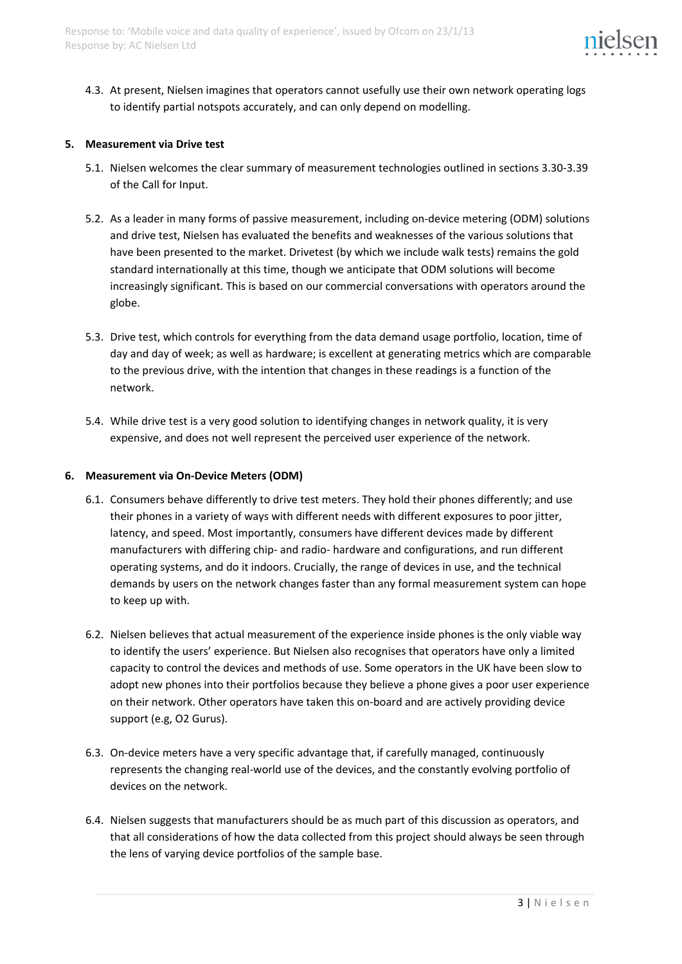

4.3. At present, Nielsen imagines that operators cannot usefully use their own network operating logs to identify partial notspots accurately, and can only depend on modelling.

## **5. Measurement via Drive test**

- 5.1. Nielsen welcomes the clear summary of measurement technologies outlined in sections 3.30-3.39 of the Call for Input.
- 5.2. As a leader in many forms of passive measurement, including on-device metering (ODM) solutions and drive test, Nielsen has evaluated the benefits and weaknesses of the various solutions that have been presented to the market. Drivetest (by which we include walk tests) remains the gold standard internationally at this time, though we anticipate that ODM solutions will become increasingly significant. This is based on our commercial conversations with operators around the globe.
- 5.3. Drive test, which controls for everything from the data demand usage portfolio, location, time of day and day of week; as well as hardware; is excellent at generating metrics which are comparable to the previous drive, with the intention that changes in these readings is a function of the network.
- 5.4. While drive test is a very good solution to identifying changes in network quality, it is very expensive, and does not well represent the perceived user experience of the network.

#### **6. Measurement via On-Device Meters (ODM)**

- 6.1. Consumers behave differently to drive test meters. They hold their phones differently; and use their phones in a variety of ways with different needs with different exposures to poor jitter, latency, and speed. Most importantly, consumers have different devices made by different manufacturers with differing chip- and radio- hardware and configurations, and run different operating systems, and do it indoors. Crucially, the range of devices in use, and the technical demands by users on the network changes faster than any formal measurement system can hope to keep up with.
- 6.2. Nielsen believes that actual measurement of the experience inside phones is the only viable way to identify the users' experience. But Nielsen also recognises that operators have only a limited capacity to control the devices and methods of use. Some operators in the UK have been slow to adopt new phones into their portfolios because they believe a phone gives a poor user experience on their network. Other operators have taken this on-board and are actively providing device support (e.g, O2 Gurus).
- 6.3. On-device meters have a very specific advantage that, if carefully managed, continuously represents the changing real-world use of the devices, and the constantly evolving portfolio of devices on the network.
- 6.4. Nielsen suggests that manufacturers should be as much part of this discussion as operators, and that all considerations of how the data collected from this project should always be seen through the lens of varying device portfolios of the sample base.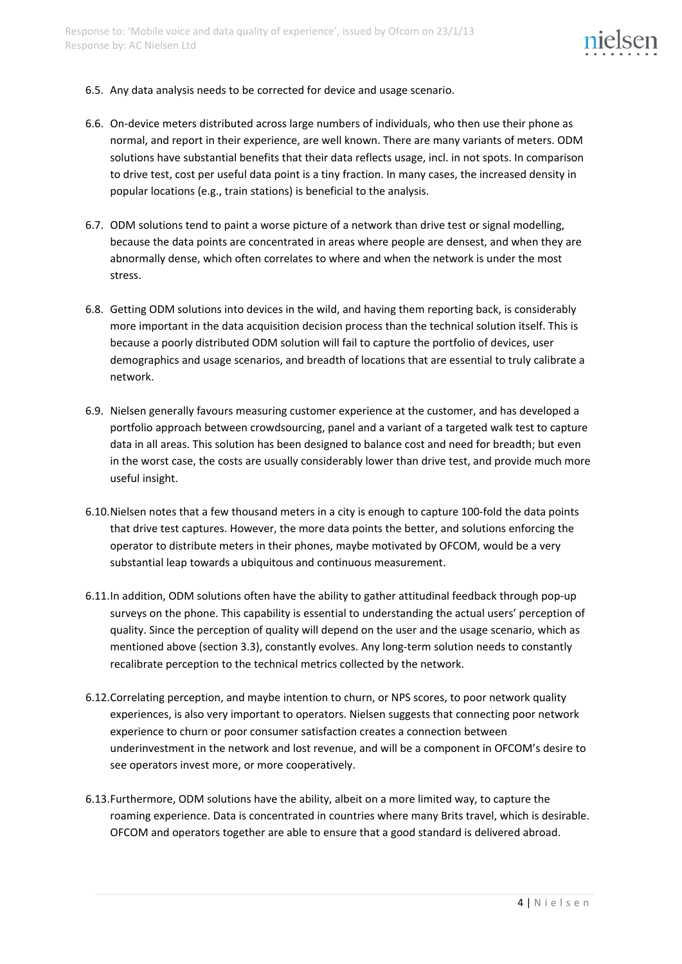

- 6.5. Any data analysis needs to be corrected for device and usage scenario.
- 6.6. On-device meters distributed across large numbers of individuals, who then use their phone as normal, and report in their experience, are well known. There are many variants of meters. ODM solutions have substantial benefits that their data reflects usage, incl. in not spots. In comparison to drive test, cost per useful data point is a tiny fraction. In many cases, the increased density in popular locations (e.g., train stations) is beneficial to the analysis.
- 6.7. ODM solutions tend to paint a worse picture of a network than drive test or signal modelling, because the data points are concentrated in areas where people are densest, and when they are abnormally dense, which often correlates to where and when the network is under the most stress.
- 6.8. Getting ODM solutions into devices in the wild, and having them reporting back, is considerably more important in the data acquisition decision process than the technical solution itself. This is because a poorly distributed ODM solution will fail to capture the portfolio of devices, user demographics and usage scenarios, and breadth of locations that are essential to truly calibrate a network.
- 6.9. Nielsen generally favours measuring customer experience at the customer, and has developed a portfolio approach between crowdsourcing, panel and a variant of a targeted walk test to capture data in all areas. This solution has been designed to balance cost and need for breadth; but even in the worst case, the costs are usually considerably lower than drive test, and provide much more useful insight.
- 6.10.Nielsen notes that a few thousand meters in a city is enough to capture 100-fold the data points that drive test captures. However, the more data points the better, and solutions enforcing the operator to distribute meters in their phones, maybe motivated by OFCOM, would be a very substantial leap towards a ubiquitous and continuous measurement.
- 6.11.In addition, ODM solutions often have the ability to gather attitudinal feedback through pop-up surveys on the phone. This capability is essential to understanding the actual users' perception of quality. Since the perception of quality will depend on the user and the usage scenario, which as mentioned above (section [3.3\)](#page-1-0), constantly evolves. Any long-term solution needs to constantly recalibrate perception to the technical metrics collected by the network.
- 6.12.Correlating perception, and maybe intention to churn, or NPS scores, to poor network quality experiences, is also very important to operators. Nielsen suggests that connecting poor network experience to churn or poor consumer satisfaction creates a connection between underinvestment in the network and lost revenue, and will be a component in OFCOM's desire to see operators invest more, or more cooperatively.
- 6.13.Furthermore, ODM solutions have the ability, albeit on a more limited way, to capture the roaming experience. Data is concentrated in countries where many Brits travel, which is desirable. OFCOM and operators together are able to ensure that a good standard is delivered abroad.